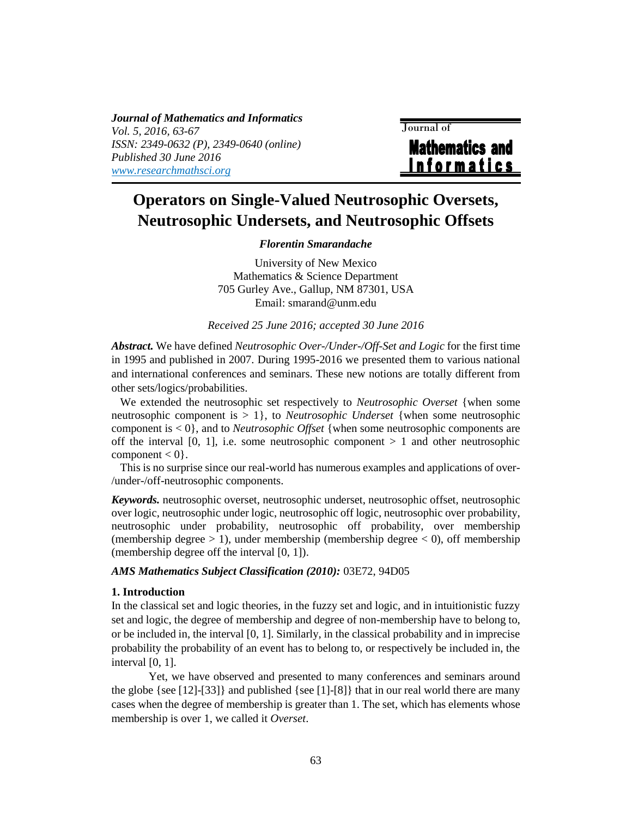*Journal of Mathematics and Informatics Vol. 5, 2016, 63-67 ISSN: 2349-0632 (P), 2349-0640 (online) Published 30 June 2016 [www.researchmathsci.org](http://www.researchmathsci.org/)*

 Journal of **Mathematics and** <u>Informatics</u>

# **Operators on Single-Valued Neutrosophic Oversets, Neutrosophic Undersets, and Neutrosophic Offsets**

# *Florentin Smarandache*

University of New Mexico Mathematics & Science Department 705 Gurley Ave., Gallup, NM 87301, USA Email: smarand@unm.edu

### *Received 25 June 2016; accepted 30 June 2016*

*Abstract.* We have defined *Neutrosophic Over-/Under-/Off-Set and Logic* for the first time in 1995 and published in 2007. During 1995-2016 we presented them to various national and international conferences and seminars. These new notions are totally different from other sets/logics/probabilities.

We extended the neutrosophic set respectively to *Neutrosophic Overset* {when some neutrosophic component is > 1}, to *Neutrosophic Underset* {when some neutrosophic component is < 0}, and to *Neutrosophic Offset* {when some neutrosophic components are off the interval  $[0, 1]$ , i.e. some neutrosophic component  $> 1$  and other neutrosophic component  $< 0$ .

This is no surprise since our real-world has numerous examples and applications of over- /under-/off-neutrosophic components.

*Keywords.* neutrosophic overset, neutrosophic underset, neutrosophic offset, neutrosophic over logic, neutrosophic under logic, neutrosophic off logic, neutrosophic over probability, neutrosophic under probability, neutrosophic off probability, over membership (membership degree  $> 1$ ), under membership (membership degree  $< 0$ ), off membership (membership degree off the interval [0, 1]).

#### *AMS Mathematics Subject Classification (2010):* 03E72, 94D05

## **1. Introduction**

In the classical set and logic theories, in the fuzzy set and logic, and in intuitionistic fuzzy set and logic, the degree of membership and degree of non-membership have to belong to, or be included in, the interval [0, 1]. Similarly, in the classical probability and in imprecise probability the probability of an event has to belong to, or respectively be included in, the interval [0, 1].

Yet, we have observed and presented to many conferences and seminars around the globe {see  $[12]$ - $[33]$ } and published {see  $[1]$ - $[8]$ } that in our real world there are many cases when the degree of membership is greater than 1. The set, which has elements whose membership is over 1, we called it *Overset*.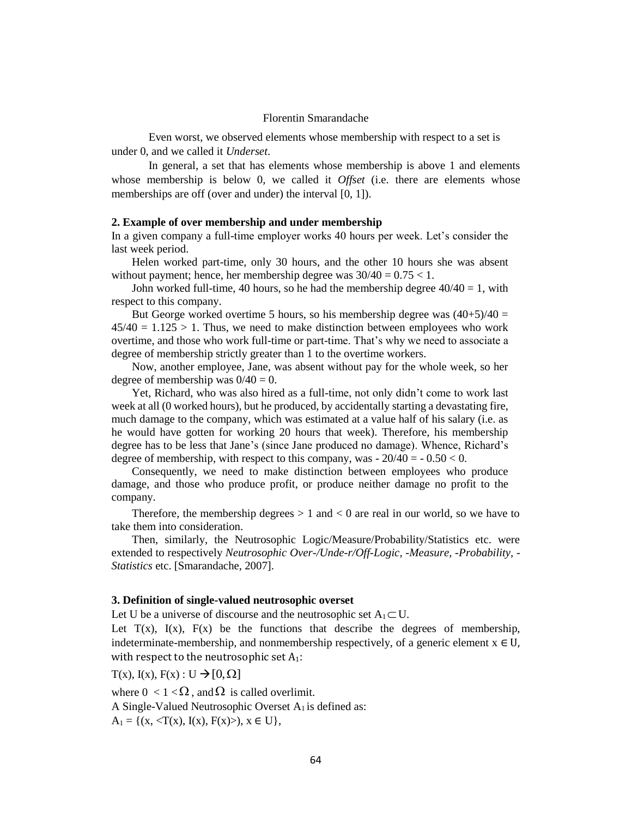#### Florentin Smarandache

Even worst, we observed elements whose membership with respect to a set is under 0, and we called it *Underset*.

In general, a set that has elements whose membership is above 1 and elements whose membership is below 0, we called it *Offset* (i.e. there are elements whose memberships are off (over and under) the interval [0, 1]).

## **2. Example of over membership and under membership**

In a given company a full-time employer works 40 hours per week. Let's consider the last week period.

Helen worked part-time, only 30 hours, and the other 10 hours she was absent without payment; hence, her membership degree was  $30/40 = 0.75 < 1$ .

John worked full-time, 40 hours, so he had the membership degree  $40/40 = 1$ , with respect to this company.

But George worked overtime 5 hours, so his membership degree was  $(40+5)/40 =$  $45/40 = 1.125 > 1$ . Thus, we need to make distinction between employees who work overtime, and those who work full-time or part-time. That's why we need to associate a degree of membership strictly greater than 1 to the overtime workers.

Now, another employee, Jane, was absent without pay for the whole week, so her degree of membership was  $0/40 = 0$ .

Yet, Richard, who was also hired as a full-time, not only didn't come to work last week at all (0 worked hours), but he produced, by accidentally starting a devastating fire, much damage to the company, which was estimated at a value half of his salary (i.e. as he would have gotten for working 20 hours that week). Therefore, his membership degree has to be less that Jane's (since Jane produced no damage). Whence, Richard's degree of membership, with respect to this company, was  $-20/40 = -0.50 < 0$ .

Consequently, we need to make distinction between employees who produce damage, and those who produce profit, or produce neither damage no profit to the company.

Therefore, the membership degrees  $> 1$  and  $< 0$  are real in our world, so we have to take them into consideration.

Then, similarly, the Neutrosophic Logic/Measure/Probability/Statistics etc. were extended to respectively *Neutrosophic Over-/Unde-r/Off-Logic, -Measure, -Probability, - Statistics* etc. [Smarandache, 2007].

#### **3. Definition of single-valued neutrosophic overset**

Let U be a universe of discourse and the neutrosophic set  $A_1 \subset U$ .

Let  $T(x)$ ,  $I(x)$ ,  $F(x)$  be the functions that describe the degrees of membership, indeterminate-membership, and nonmembership respectively, of a generic element  $x \in U$ , with respect to the neutrosophic set  $A_1$ :

 $T(x)$ ,  $I(x)$ ,  $F(x)$ :  $U \rightarrow [0, \Omega]$ 

where  $0 < 1 < \Omega$ , and  $\Omega$  is called overlimit.

A Single-Valued Neutrosophic Overset  $A_1$  is defined as:

 $A_1 = \{(x, \langle T(x), I(x), F(x) \rangle), x \in U\},\$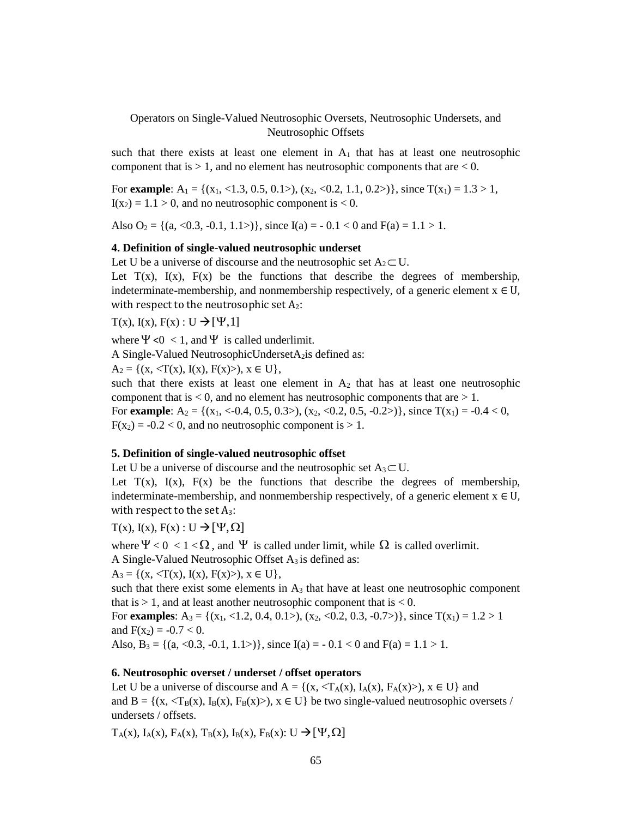Operators on Single-Valued Neutrosophic Oversets, Neutrosophic Undersets, and Neutrosophic Offsets

such that there exists at least one element in  $A_1$  that has at least one neutrosophic component that is  $> 1$ , and no element has neutrosophic components that are  $< 0$ .

For **example**:  $A_1 = \{(x_1, <1.3, 0.5, 0.1>, (x_2, <0.2, 1.1, 0.2) \}, \text{ since } T(x_1) = 1.3 > 1,$  $I(x_2) = 1.1 > 0$ , and no neutrosophic component is < 0.

Also  $O_2 = \{(a, \langle 0.3, -0.1, 1.1 \rangle)\}\$ , since  $I(a) = -0.1 < 0$  and  $F(a) = 1.1 > 1$ .

#### **4. Definition of single-valued neutrosophic underset**

Let U be a universe of discourse and the neutrosophic set  $A_2 \subset U$ .

Let  $T(x)$ ,  $I(x)$ ,  $F(x)$  be the functions that describe the degrees of membership, indeterminate-membership, and nonmembership respectively, of a generic element  $x \in U$ , with respect to the neutrosophic set  $A_2$ :

 $T(x)$ ,  $I(x)$ ,  $F(x)$ :  $U \rightarrow [Y,1]$ 

where  $\Psi$  <0 < 1, and  $\Psi$  is called underlimit.

A Single-Valued NeutrosophicUndersetA<sub>2</sub>is defined as:

 $A_2 = \{(x, \langle T(x), I(x), F(x) \rangle), x \in U\},\$ 

such that there exists at least one element in  $A_2$  that has at least one neutrosophic component that is  $< 0$ , and no element has neutrosophic components that are  $> 1$ . For **example**:  $A_2 = \{(x_1, \langle -0.4, 0.5, 0.3 \rangle), (x_2, \langle 0.2, 0.5, -0.2 \rangle)\}\$ , since  $T(x_1) = -0.4 < 0$ ,  $F(x_2) = -0.2 < 0$ , and no neutrosophic component is  $> 1$ .

#### **5. Definition of single-valued neutrosophic offset**

Let U be a universe of discourse and the neutrosophic set  $A_3 \subset U$ .

Let  $T(x)$ ,  $I(x)$ ,  $F(x)$  be the functions that describe the degrees of membership, indeterminate-membership, and nonmembership respectively, of a generic element  $x \in U$ , with respect to the set  $A_3$ :

 $T(x)$ ,  $I(x)$ ,  $F(x)$ :  $U \rightarrow [Y, \Omega]$ 

where  $\Psi < 0 < 1 < \Omega$ , and  $\Psi$  is called under limit, while  $\Omega$  is called overlimit. A Single-Valued Neutrosophic Offset  $A_3$  is defined as:

 $A_3 = \{(x, \langle T(x), I(x), F(x) \rangle), x \in U\},\$ 

such that there exist some elements in  $A_3$  that have at least one neutrosophic component that is  $> 1$ , and at least another neutrosophic component that is  $< 0$ .

For **examples**:  $A_3 = \{(x_1, <1.2, 0.4, 0.1>)$ ,  $(x_2, <0.2, 0.3, -0.7>)\}$ , since  $T(x_1) = 1.2 > 1$ and  $F(x_2) = -0.7 < 0$ .

Also, B<sub>3</sub> = {(a, <0.3, -0.1, 1.1>)}, since I(a) = -0.1 < 0 and F(a) = 1.1 > 1.

#### **6. Neutrosophic overset / underset / offset operators**

Let U be a universe of discourse and  $A = \{(x, \langle T_A(x), I_A(x), F_A(x) \rangle), x \in U\}$  and and  $B = \{(x, \langle T_B(x), I_B(x), F_B(x)\rangle), x \in U\}$  be two single-valued neutrosophic oversets / undersets / offsets.

 $T_A(x)$ ,  $I_A(x)$ ,  $F_A(x)$ ,  $T_B(x)$ ,  $I_B(x)$ ,  $F_B(x)$ :  $U \rightarrow [ \Psi, \Omega]$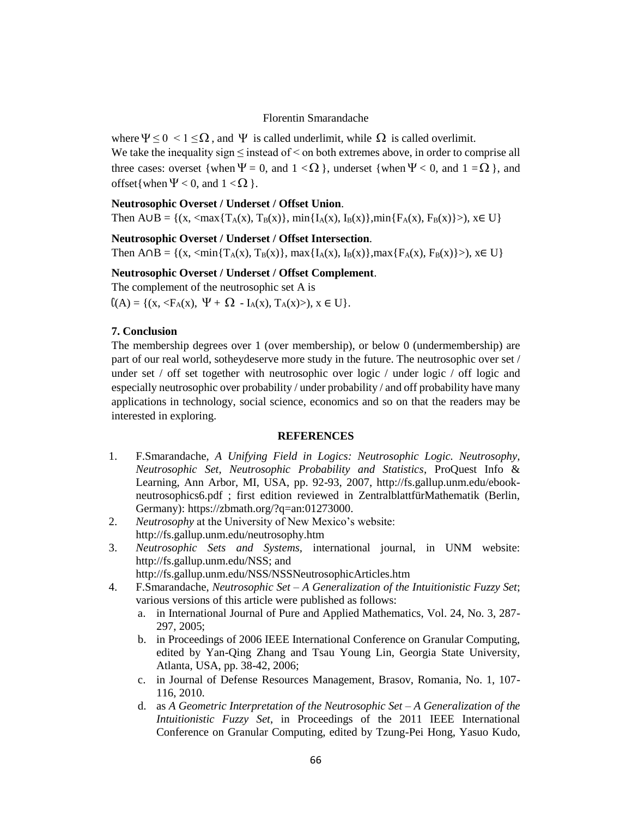#### Florentin Smarandache

where  $\Psi \le 0 < 1 \le \Omega$ , and  $\Psi$  is called underlimit, while  $\Omega$  is called overlimit. We take the inequality sign  $\leq$  instead of  $\leq$  on both extremes above, in order to comprise all three cases: overset {when  $\Psi = 0$ , and  $1 < \Omega$ }, underset {when  $\Psi < 0$ , and  $1 = \Omega$ }, and offset{when  $\Psi$  < 0, and 1 <  $\Omega$  }.

## **Neutrosophic Overset / Underset / Offset Union**.

Then  $A \cup B = \{(x, \langle \max\{T_A(x), T_B(x)\}, \min\{I_A(x), I_B(x)\}, \min\{F_A(x), F_B(x)\}\rangle), x \in U\}$ 

## **Neutrosophic Overset / Underset / Offset Intersection**.

Then  $A \cap B = \{(x, \leq \min\{T_A(x), T_B(x)\}, \max\{I_A(x), I_B(x)\}, \max\{F_A(x), F_B(x)\}\)$ ,  $x \in U\}$ 

## **Neutrosophic Overset / Underset / Offset Complement**.

The complement of the neutrosophic set A is  $(A) = \{(x, \langle F_A(x), \Psi + \Omega - I_A(x), T_A(x) \rangle), x \in U\}.$ 

## **7. Conclusion**

The membership degrees over 1 (over membership), or below 0 (undermembership) are part of our real world, sotheydeserve more study in the future. The neutrosophic over set / under set / off set together with neutrosophic over logic / under logic / off logic and especially neutrosophic over probability / under probability / and off probability have many applications in technology, social science, economics and so on that the readers may be interested in exploring.

#### **REFERENCES**

- 1. F.Smarandache, *A Unifying Field in Logics: Neutrosophic Logic. Neutrosophy, Neutrosophic Set, Neutrosophic Probability and Statistics*, ProQuest Info & Learning, Ann Arbor, MI, USA, pp. 92-93, 2007, [http://fs.gallup.unm.edu/ebook](http://fs.gallup.unm.edu/ebook-neutrosophics6.pdf)[neutrosophics6.pdf](http://fs.gallup.unm.edu/ebook-neutrosophics6.pdf) ; first edition reviewed in ZentralblattfürMathematik (Berlin, Germany): [https://zbmath.org/?q=an:01273000.](https://zbmath.org/?q=an:01273000)
- 2. *Neutrosophy* at the University of New Mexico's website: <http://fs.gallup.unm.edu/neutrosophy.htm>
- 3. *Neutrosophic Sets and Systems,* international journal, in UNM website: [http://fs.gallup.unm.edu/NSS;](http://fs.gallup.unm.edu/NSS) and
	- <http://fs.gallup.unm.edu/NSS/NSSNeutrosophicArticles.htm>
- 4. F.Smarandache, *Neutrosophic Set – A Generalization of the Intuitionistic Fuzzy Set*; various versions of this article were published as follows:
	- a. in International Journal of Pure and Applied Mathematics, Vol. 24, No. 3, 287- 297, 2005;
	- b. in Proceedings of 2006 IEEE International Conference on Granular Computing, edited by Yan-Qing Zhang and Tsau Young Lin, Georgia State University, Atlanta, USA, pp. 38-42, 2006;
	- c. in Journal of Defense Resources Management, Brasov, Romania, No. 1, 107- 116, 2010.
	- d. as *A Geometric Interpretation of the Neutrosophic Set – A Generalization of the Intuitionistic Fuzzy Set*, in Proceedings of the 2011 IEEE International Conference on Granular Computing, edited by Tzung-Pei Hong, Yasuo Kudo,